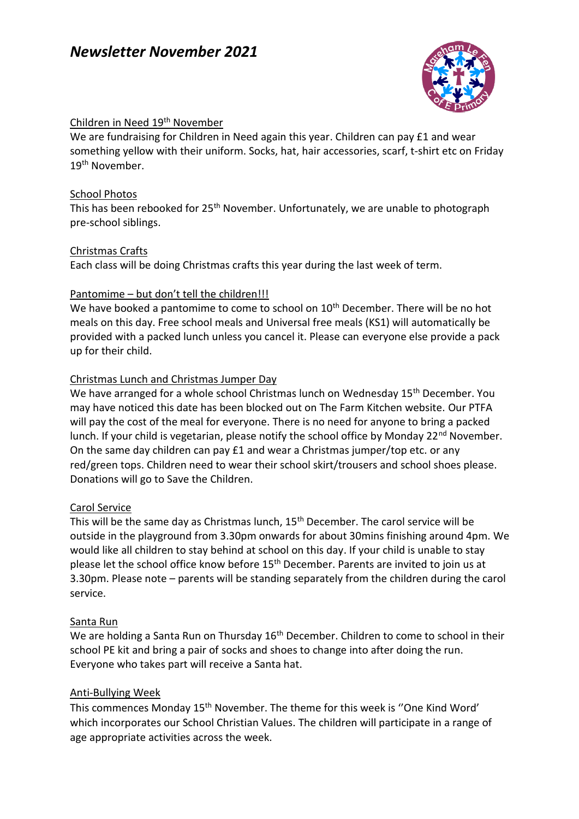# *Newsletter November 2021*



## Children in Need 19th November

We are fundraising for Children in Need again this year. Children can pay £1 and wear something yellow with their uniform. Socks, hat, hair accessories, scarf, t-shirt etc on Friday 19<sup>th</sup> November.

#### School Photos

This has been rebooked for 25<sup>th</sup> November. Unfortunately, we are unable to photograph pre-school siblings.

#### Christmas Crafts

Each class will be doing Christmas crafts this year during the last week of term.

#### Pantomime – but don't tell the children!!!

We have booked a pantomime to come to school on 10<sup>th</sup> December. There will be no hot meals on this day. Free school meals and Universal free meals (KS1) will automatically be provided with a packed lunch unless you cancel it. Please can everyone else provide a pack up for their child.

## Christmas Lunch and Christmas Jumper Day

We have arranged for a whole school Christmas lunch on Wednesday 15<sup>th</sup> December. You may have noticed this date has been blocked out on The Farm Kitchen website. Our PTFA will pay the cost of the meal for everyone. There is no need for anyone to bring a packed lunch. If your child is vegetarian, please notify the school office by Monday  $22^{nd}$  November. On the same day children can pay £1 and wear a Christmas jumper/top etc. or any red/green tops. Children need to wear their school skirt/trousers and school shoes please. Donations will go to Save the Children.

## Carol Service

This will be the same day as Christmas lunch, 15<sup>th</sup> December. The carol service will be outside in the playground from 3.30pm onwards for about 30mins finishing around 4pm. We would like all children to stay behind at school on this day. If your child is unable to stay please let the school office know before 15<sup>th</sup> December. Parents are invited to join us at 3.30pm. Please note – parents will be standing separately from the children during the carol service.

#### Santa Run

We are holding a Santa Run on Thursday 16<sup>th</sup> December. Children to come to school in their school PE kit and bring a pair of socks and shoes to change into after doing the run. Everyone who takes part will receive a Santa hat.

## Anti-Bullying Week

This commences Monday 15<sup>th</sup> November. The theme for this week is "One Kind Word' which incorporates our School Christian Values. The children will participate in a range of age appropriate activities across the week.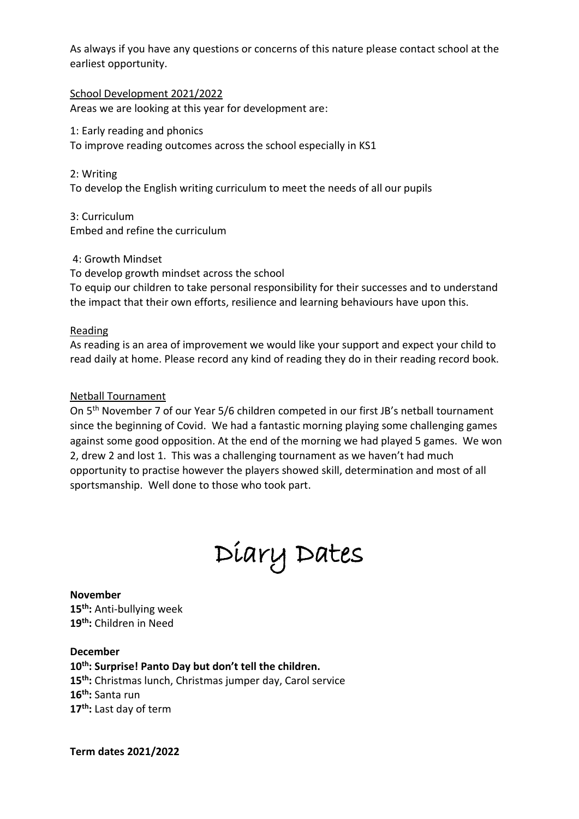As always if you have any questions or concerns of this nature please contact school at the earliest opportunity.

School Development 2021/2022 Areas we are looking at this year for development are:

1: Early reading and phonics To improve reading outcomes across the school especially in KS1

2: Writing

To develop the English writing curriculum to meet the needs of all our pupils

3: Curriculum Embed and refine the curriculum

4: Growth Mindset

To develop growth mindset across the school To equip our children to take personal responsibility for their successes and to understand the impact that their own efforts, resilience and learning behaviours have upon this.

Reading

As reading is an area of improvement we would like your support and expect your child to read daily at home. Please record any kind of reading they do in their reading record book.

## Netball Tournament

On 5th November 7 of our Year 5/6 children competed in our first JB's netball tournament since the beginning of Covid. We had a fantastic morning playing some challenging games against some good opposition. At the end of the morning we had played 5 games. We won 2, drew 2 and lost 1. This was a challenging tournament as we haven't had much opportunity to practise however the players showed skill, determination and most of all sportsmanship. Well done to those who took part.



**November 15th:** Anti-bullying week

**19th:** Children in Need

**December**

**th: Surprise! Panto Day but don't tell the children. th:** Christmas lunch, Christmas jumper day, Carol service **th:** Santa run **th:** Last day of term

**Term dates 2021/2022**